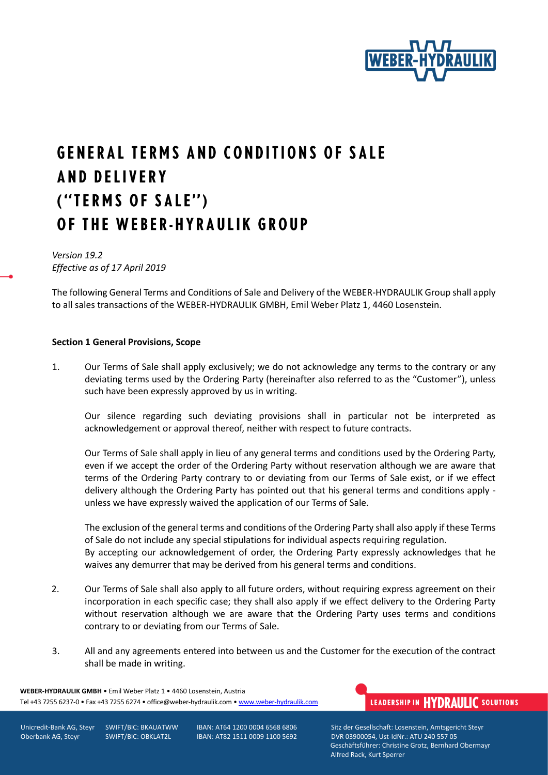

# **GENERAL TERMS AND CONDITIONS OF SALE AND DELIVERY** ("TERMS OF SALE") OF THE WEBER-HYRAULIK GROUP

### *Version 19.2 Effective as of 17 April 2019*

The following General Terms and Conditions of Sale and Delivery of the WEBER-HYDRAULIK Group shall apply to all sales transactions of the WEBER-HYDRAULIK GMBH, Emil Weber Platz 1, 4460 Losenstein.

#### **Section 1 General Provisions, Scope**

1. Our Terms of Sale shall apply exclusively; we do not acknowledge any terms to the contrary or any deviating terms used by the Ordering Party (hereinafter also referred to as the "Customer"), unless such have been expressly approved by us in writing.

Our silence regarding such deviating provisions shall in particular not be interpreted as acknowledgement or approval thereof, neither with respect to future contracts.

Our Terms of Sale shall apply in lieu of any general terms and conditions used by the Ordering Party, even if we accept the order of the Ordering Party without reservation although we are aware that terms of the Ordering Party contrary to or deviating from our Terms of Sale exist, or if we effect delivery although the Ordering Party has pointed out that his general terms and conditions apply unless we have expressly waived the application of our Terms of Sale.

The exclusion of the general terms and conditions of the Ordering Party shall also apply if these Terms of Sale do not include any special stipulations for individual aspects requiring regulation. By accepting our acknowledgement of order, the Ordering Party expressly acknowledges that he waives any demurrer that may be derived from his general terms and conditions.

- 2. Our Terms of Sale shall also apply to all future orders, without requiring express agreement on their incorporation in each specific case; they shall also apply if we effect delivery to the Ordering Party without reservation although we are aware that the Ordering Party uses terms and conditions contrary to or deviating from our Terms of Sale.
- 3. All and any agreements entered into between us and the Customer for the execution of the contract shall be made in writing.

**WEBER-HYDRAULIK GMBH** • Emil Weber Platz 1 • 4460 Losenstein, Austria Tel +43 7255 6237-0 • Fax +43 7255 6274 • office@weber-hydraulik.com • [www.weber-hydraulik.com](http://www.weber-hydraulik.com/)

## LEADERSHIP IN HYDRAULIC SOLUTIONS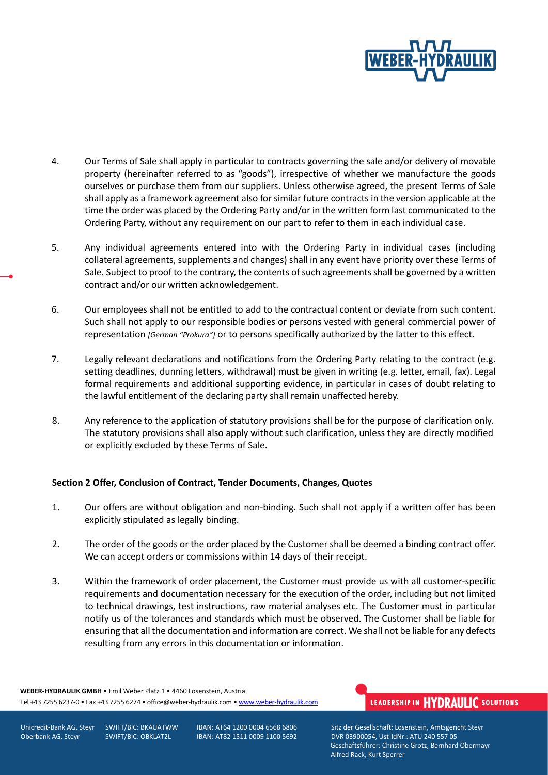

- 4. Our Terms of Sale shall apply in particular to contracts governing the sale and/or delivery of movable property (hereinafter referred to as "goods"), irrespective of whether we manufacture the goods ourselves or purchase them from our suppliers. Unless otherwise agreed, the present Terms of Sale shall apply as a framework agreement also for similar future contracts in the version applicable at the time the order was placed by the Ordering Party and/or in the written form last communicated to the Ordering Party, without any requirement on our part to refer to them in each individual case.
- 5. Any individual agreements entered into with the Ordering Party in individual cases (including collateral agreements, supplements and changes) shall in any event have priority over these Terms of Sale. Subject to proof to the contrary, the contents of such agreements shall be governed by a written contract and/or our written acknowledgement.
- 6. Our employees shall not be entitled to add to the contractual content or deviate from such content. Such shall not apply to our responsible bodies or persons vested with general commercial power of representation *[German "Prokura"]* or to persons specifically authorized by the latter to this effect.
- 7. Legally relevant declarations and notifications from the Ordering Party relating to the contract (e.g. setting deadlines, dunning letters, withdrawal) must be given in writing (e.g. letter, email, fax). Legal formal requirements and additional supporting evidence, in particular in cases of doubt relating to the lawful entitlement of the declaring party shall remain unaffected hereby.
- 8. Any reference to the application of statutory provisions shall be for the purpose of clarification only. The statutory provisions shall also apply without such clarification, unless they are directly modified or explicitly excluded by these Terms of Sale.

#### **Section 2 Offer, Conclusion of Contract, Tender Documents, Changes, Quotes**

- 1. Our offers are without obligation and non-binding. Such shall not apply if a written offer has been explicitly stipulated as legally binding.
- 2. The order of the goods or the order placed by the Customer shall be deemed a binding contract offer. We can accept orders or commissions within 14 days of their receipt.
- 3. Within the framework of order placement, the Customer must provide us with all customer-specific requirements and documentation necessary for the execution of the order, including but not limited to technical drawings, test instructions, raw material analyses etc. The Customer must in particular notify us of the tolerances and standards which must be observed. The Customer shall be liable for ensuring that all the documentation and information are correct. We shall not be liable for any defects resulting from any errors in this documentation or information.

**WEBER-HYDRAULIK GMBH** • Emil Weber Platz 1 • 4460 Losenstein, Austria Tel +43 7255 6237-0 • Fax +43 7255 6274 • office@weber-hydraulik.com • [www.weber-hydraulik.com](http://www.weber-hydraulik.com/)

# LEADERSHIP IN HYDRAULIC SOLUTIONS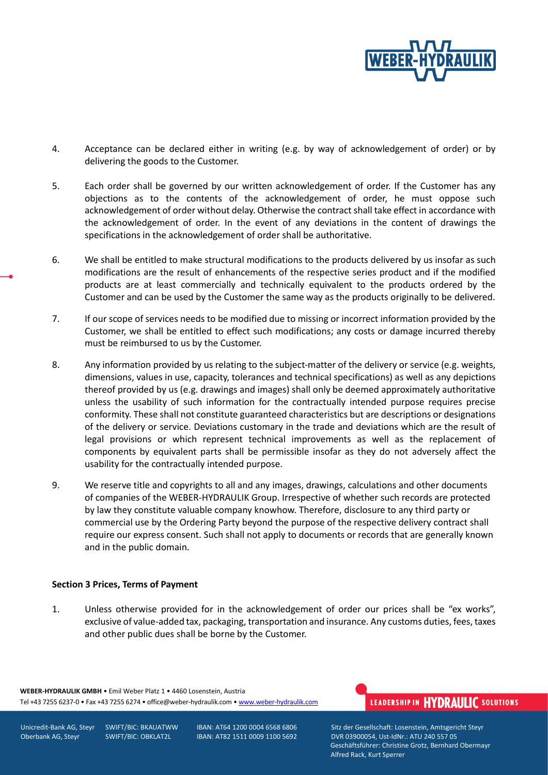

- 4. Acceptance can be declared either in writing (e.g. by way of acknowledgement of order) or by delivering the goods to the Customer.
- 5. Each order shall be governed by our written acknowledgement of order. If the Customer has any objections as to the contents of the acknowledgement of order, he must oppose such acknowledgement of order without delay. Otherwise the contract shall take effect in accordance with the acknowledgement of order. In the event of any deviations in the content of drawings the specifications in the acknowledgement of order shall be authoritative.
- 6. We shall be entitled to make structural modifications to the products delivered by us insofar as such modifications are the result of enhancements of the respective series product and if the modified products are at least commercially and technically equivalent to the products ordered by the Customer and can be used by the Customer the same way as the products originally to be delivered.
- 7. If our scope of services needs to be modified due to missing or incorrect information provided by the Customer, we shall be entitled to effect such modifications; any costs or damage incurred thereby must be reimbursed to us by the Customer.
- 8. Any information provided by us relating to the subject-matter of the delivery or service (e.g. weights, dimensions, values in use, capacity, tolerances and technical specifications) as well as any depictions thereof provided by us (e.g. drawings and images) shall only be deemed approximately authoritative unless the usability of such information for the contractually intended purpose requires precise conformity. These shall not constitute guaranteed characteristics but are descriptions or designations of the delivery or service. Deviations customary in the trade and deviations which are the result of legal provisions or which represent technical improvements as well as the replacement of components by equivalent parts shall be permissible insofar as they do not adversely affect the usability for the contractually intended purpose.
- 9. We reserve title and copyrights to all and any images, drawings, calculations and other documents of companies of the WEBER-HYDRAULIK Group. Irrespective of whether such records are protected by law they constitute valuable company knowhow. Therefore, disclosure to any third party or commercial use by the Ordering Party beyond the purpose of the respective delivery contract shall require our express consent. Such shall not apply to documents or records that are generally known and in the public domain.

#### **Section 3 Prices, Terms of Payment**

1. Unless otherwise provided for in the acknowledgement of order our prices shall be "ex works", exclusive of value-added tax, packaging, transportation and insurance. Any customs duties, fees, taxes and other public dues shall be borne by the Customer.

**WEBER-HYDRAULIK GMBH** • Emil Weber Platz 1 • 4460 Losenstein, Austria Tel +43 7255 6237-0 • Fax +43 7255 6274 • office@weber-hydraulik.com • [www.weber-hydraulik.com](http://www.weber-hydraulik.com/)

# LEADERSHIP IN HYDRAULIC SOLUTIONS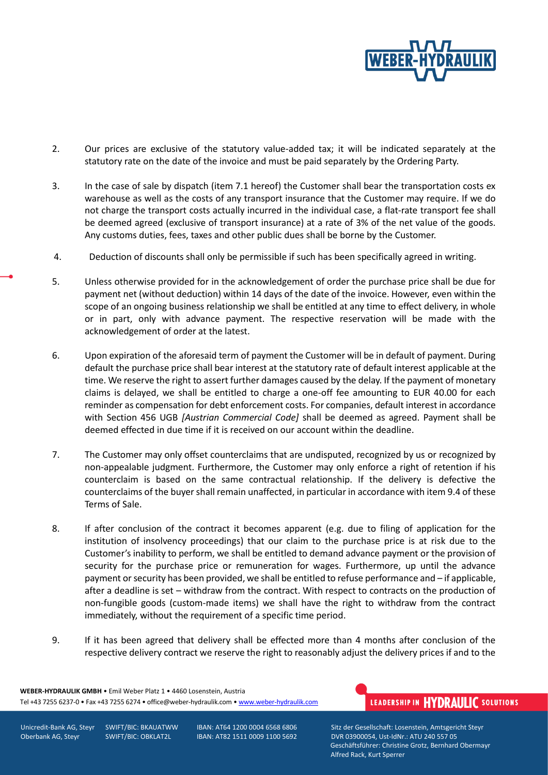

- 2. Our prices are exclusive of the statutory value-added tax; it will be indicated separately at the statutory rate on the date of the invoice and must be paid separately by the Ordering Party.
- 3. In the case of sale by dispatch (item 7.1 hereof) the Customer shall bear the transportation costs ex warehouse as well as the costs of any transport insurance that the Customer may require. If we do not charge the transport costs actually incurred in the individual case, a flat-rate transport fee shall be deemed agreed (exclusive of transport insurance) at a rate of 3% of the net value of the goods. Any customs duties, fees, taxes and other public dues shall be borne by the Customer.
- 4. Deduction of discounts shall only be permissible if such has been specifically agreed in writing.
- 5. Unless otherwise provided for in the acknowledgement of order the purchase price shall be due for payment net (without deduction) within 14 days of the date of the invoice. However, even within the scope of an ongoing business relationship we shall be entitled at any time to effect delivery, in whole or in part, only with advance payment. The respective reservation will be made with the acknowledgement of order at the latest.
- 6. Upon expiration of the aforesaid term of payment the Customer will be in default of payment. During default the purchase price shall bear interest at the statutory rate of default interest applicable at the time. We reserve the right to assert further damages caused by the delay. If the payment of monetary claims is delayed, we shall be entitled to charge a one-off fee amounting to EUR 40.00 for each reminder as compensation for debt enforcement costs. For companies, default interest in accordance with Section 456 UGB *[Austrian Commercial Code]* shall be deemed as agreed. Payment shall be deemed effected in due time if it is received on our account within the deadline.
- 7. The Customer may only offset counterclaims that are undisputed, recognized by us or recognized by non-appealable judgment. Furthermore, the Customer may only enforce a right of retention if his counterclaim is based on the same contractual relationship. If the delivery is defective the counterclaims of the buyer shall remain unaffected, in particular in accordance with item 9.4 of these Terms of Sale.
- 8. If after conclusion of the contract it becomes apparent (e.g. due to filing of application for the institution of insolvency proceedings) that our claim to the purchase price is at risk due to the Customer's inability to perform, we shall be entitled to demand advance payment or the provision of security for the purchase price or remuneration for wages. Furthermore, up until the advance payment or security has been provided, we shall be entitled to refuse performance and – if applicable, after a deadline is set – withdraw from the contract. With respect to contracts on the production of non-fungible goods (custom-made items) we shall have the right to withdraw from the contract immediately, without the requirement of a specific time period.
- 9. If it has been agreed that delivery shall be effected more than 4 months after conclusion of the respective delivery contract we reserve the right to reasonably adjust the delivery prices if and to the

**WEBER-HYDRAULIK GMBH** • Emil Weber Platz 1 • 4460 Losenstein, Austria Tel +43 7255 6237-0 • Fax +43 7255 6274 • office@weber-hydraulik.com • [www.weber-hydraulik.com](http://www.weber-hydraulik.com/)

# LEADERSHIP IN HYDRAULIC SOLUTIONS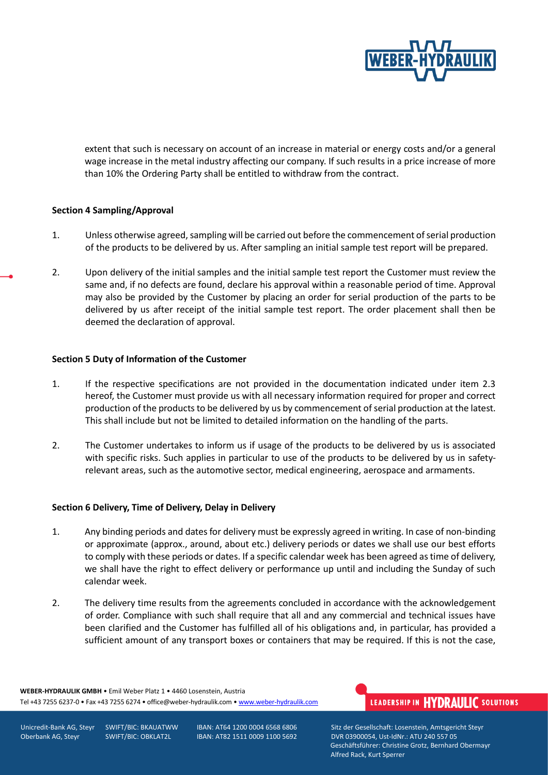

extent that such is necessary on account of an increase in material or energy costs and/or a general wage increase in the metal industry affecting our company. If such results in a price increase of more than 10% the Ordering Party shall be entitled to withdraw from the contract.

#### **Section 4 Sampling/Approval**

- 1. Unless otherwise agreed, sampling will be carried out before the commencement of serial production of the products to be delivered by us. After sampling an initial sample test report will be prepared.
- 2. Upon delivery of the initial samples and the initial sample test report the Customer must review the same and, if no defects are found, declare his approval within a reasonable period of time. Approval may also be provided by the Customer by placing an order for serial production of the parts to be delivered by us after receipt of the initial sample test report. The order placement shall then be deemed the declaration of approval.

#### **Section 5 Duty of Information of the Customer**

- 1. If the respective specifications are not provided in the documentation indicated under item 2.3 hereof, the Customer must provide us with all necessary information required for proper and correct production of the products to be delivered by us by commencement of serial production at the latest. This shall include but not be limited to detailed information on the handling of the parts.
- 2. The Customer undertakes to inform us if usage of the products to be delivered by us is associated with specific risks. Such applies in particular to use of the products to be delivered by us in safetyrelevant areas, such as the automotive sector, medical engineering, aerospace and armaments.

#### **Section 6 Delivery, Time of Delivery, Delay in Delivery**

- 1. Any binding periods and dates for delivery must be expressly agreed in writing. In case of non-binding or approximate (approx., around, about etc.) delivery periods or dates we shall use our best efforts to comply with these periods or dates. If a specific calendar week has been agreed as time of delivery, we shall have the right to effect delivery or performance up until and including the Sunday of such calendar week.
- 2. The delivery time results from the agreements concluded in accordance with the acknowledgement of order. Compliance with such shall require that all and any commercial and technical issues have been clarified and the Customer has fulfilled all of his obligations and, in particular, has provided a sufficient amount of any transport boxes or containers that may be required. If this is not the case,

**WEBER-HYDRAULIK GMBH** • Emil Weber Platz 1 • 4460 Losenstein, Austria Tel +43 7255 6237-0 • Fax +43 7255 6274 • office@weber-hydraulik.com • [www.weber-hydraulik.com](http://www.weber-hydraulik.com/)

## LEADERSHIP IN HYDRAULIC SOLUTIONS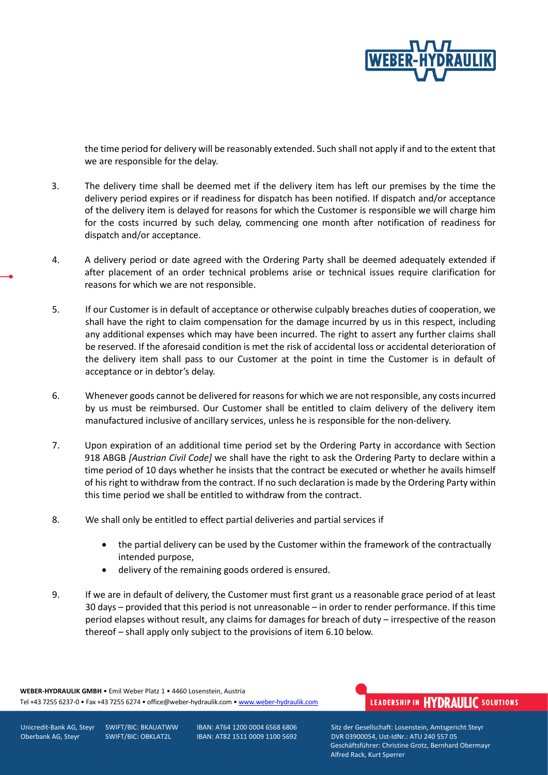

the time period for delivery will be reasonably extended. Such shall not apply if and to the extent that we are responsible for the delay.

- 3. The delivery time shall be deemed met if the delivery item has left our premises by the time the delivery period expires or if readiness for dispatch has been notified. If dispatch and/or acceptance of the delivery item is delayed for reasons for which the Customer is responsible we will charge him for the costs incurred by such delay, commencing one month after notification of readiness for dispatch and/or acceptance.
- 4. A delivery period or date agreed with the Ordering Party shall be deemed adequately extended if after placement of an order technical problems arise or technical issues require clarification for reasons for which we are not responsible.
- 5. If our Customer is in default of acceptance or otherwise culpably breaches duties of cooperation, we shall have the right to claim compensation for the damage incurred by us in this respect, including any additional expenses which may have been incurred. The right to assert any further claims shall be reserved. If the aforesaid condition is met the risk of accidental loss or accidental deterioration of the delivery item shall pass to our Customer at the point in time the Customer is in default of acceptance or in debtor's delay.
- 6. Whenever goods cannot be delivered for reasons for which we are not responsible, any costs incurred by us must be reimbursed. Our Customer shall be entitled to claim delivery of the delivery item manufactured inclusive of ancillary services, unless he is responsible for the non-delivery.
- 7. Upon expiration of an additional time period set by the Ordering Party in accordance with Section 918 ABGB *[Austrian Civil Code]* we shall have the right to ask the Ordering Party to declare within a time period of 10 days whether he insists that the contract be executed or whether he avails himself of his right to withdraw from the contract. If no such declaration is made by the Ordering Party within this time period we shall be entitled to withdraw from the contract.
- 8. We shall only be entitled to effect partial deliveries and partial services if
	- the partial delivery can be used by the Customer within the framework of the contractually intended purpose,
	- delivery of the remaining goods ordered is ensured.
- 9. If we are in default of delivery, the Customer must first grant us a reasonable grace period of at least 30 days – provided that this period is not unreasonable – in order to render performance. If this time period elapses without result, any claims for damages for breach of duty – irrespective of the reason thereof – shall apply only subject to the provisions of item 6.10 below.

**WEBER-HYDRAULIK GMBH** • Emil Weber Platz 1 • 4460 Losenstein, Austria Tel +43 7255 6237-0 • Fax +43 7255 6274 • office@weber-hydraulik.com • [www.weber-hydraulik.com](http://www.weber-hydraulik.com/)

# LEADERSHIP IN HYDRAULIC SOLUTIONS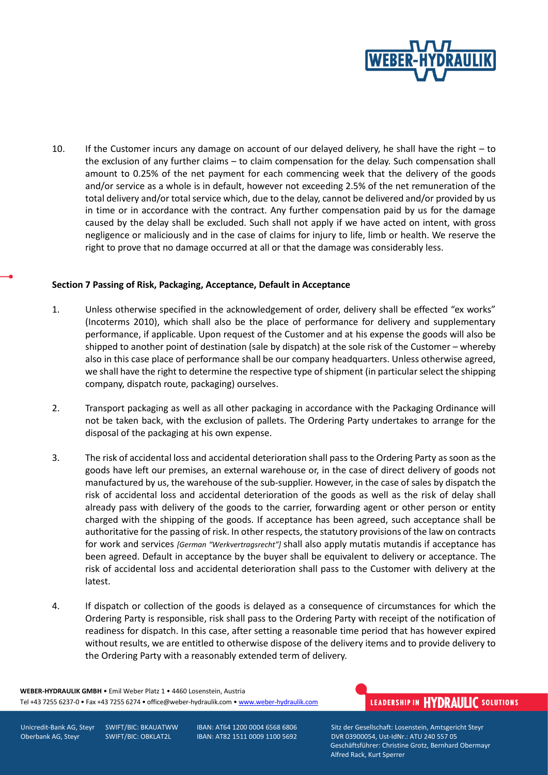

10. If the Customer incurs any damage on account of our delayed delivery, he shall have the right – to the exclusion of any further claims – to claim compensation for the delay. Such compensation shall amount to 0.25% of the net payment for each commencing week that the delivery of the goods and/or service as a whole is in default, however not exceeding 2.5% of the net remuneration of the total delivery and/or total service which, due to the delay, cannot be delivered and/or provided by us in time or in accordance with the contract. Any further compensation paid by us for the damage caused by the delay shall be excluded. Such shall not apply if we have acted on intent, with gross negligence or maliciously and in the case of claims for injury to life, limb or health. We reserve the right to prove that no damage occurred at all or that the damage was considerably less.

#### **Section 7 Passing of Risk, Packaging, Acceptance, Default in Acceptance**

- 1. Unless otherwise specified in the acknowledgement of order, delivery shall be effected "ex works" (Incoterms 2010), which shall also be the place of performance for delivery and supplementary performance, if applicable. Upon request of the Customer and at his expense the goods will also be shipped to another point of destination (sale by dispatch) at the sole risk of the Customer – whereby also in this case place of performance shall be our company headquarters. Unless otherwise agreed, we shall have the right to determine the respective type of shipment (in particular select the shipping company, dispatch route, packaging) ourselves.
- 2. Transport packaging as well as all other packaging in accordance with the Packaging Ordinance will not be taken back, with the exclusion of pallets. The Ordering Party undertakes to arrange for the disposal of the packaging at his own expense.
- 3. The risk of accidental loss and accidental deterioration shall pass to the Ordering Party as soon as the goods have left our premises, an external warehouse or, in the case of direct delivery of goods not manufactured by us, the warehouse of the sub-supplier. However, in the case of sales by dispatch the risk of accidental loss and accidental deterioration of the goods as well as the risk of delay shall already pass with delivery of the goods to the carrier, forwarding agent or other person or entity charged with the shipping of the goods. If acceptance has been agreed, such acceptance shall be authoritative for the passing of risk. In other respects, the statutory provisions of the law on contracts for work and services *[German "Werkvertragsrecht"]* shall also apply mutatis mutandis if acceptance has been agreed. Default in acceptance by the buyer shall be equivalent to delivery or acceptance. The risk of accidental loss and accidental deterioration shall pass to the Customer with delivery at the latest.
- 4. If dispatch or collection of the goods is delayed as a consequence of circumstances for which the Ordering Party is responsible, risk shall pass to the Ordering Party with receipt of the notification of readiness for dispatch. In this case, after setting a reasonable time period that has however expired without results, we are entitled to otherwise dispose of the delivery items and to provide delivery to the Ordering Party with a reasonably extended term of delivery.

**WEBER-HYDRAULIK GMBH** • Emil Weber Platz 1 • 4460 Losenstein, Austria Tel +43 7255 6237-0 • Fax +43 7255 6274 • office@weber-hydraulik.com • [www.weber-hydraulik.com](http://www.weber-hydraulik.com/)

## LEADERSHIP IN HYDRAULIC SOLUTIONS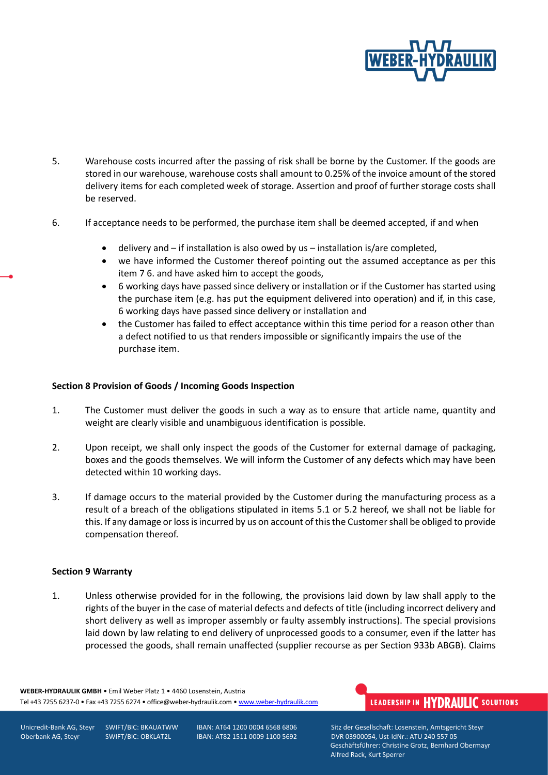

- 5. Warehouse costs incurred after the passing of risk shall be borne by the Customer. If the goods are stored in our warehouse, warehouse costs shall amount to 0.25% of the invoice amount of the stored delivery items for each completed week of storage. Assertion and proof of further storage costs shall be reserved.
- 6. If acceptance needs to be performed, the purchase item shall be deemed accepted, if and when
	- delivery and  $-$  if installation is also owed by us  $-$  installation is/are completed,
	- we have informed the Customer thereof pointing out the assumed acceptance as per this item 7 6. and have asked him to accept the goods,
	- 6 working days have passed since delivery or installation or if the Customer has started using the purchase item (e.g. has put the equipment delivered into operation) and if, in this case, 6 working days have passed since delivery or installation and
	- the Customer has failed to effect acceptance within this time period for a reason other than a defect notified to us that renders impossible or significantly impairs the use of the purchase item.

#### **Section 8 Provision of Goods / Incoming Goods Inspection**

- 1. The Customer must deliver the goods in such a way as to ensure that article name, quantity and weight are clearly visible and unambiguous identification is possible.
- 2. Upon receipt, we shall only inspect the goods of the Customer for external damage of packaging, boxes and the goods themselves. We will inform the Customer of any defects which may have been detected within 10 working days.
- 3. If damage occurs to the material provided by the Customer during the manufacturing process as a result of a breach of the obligations stipulated in items 5.1 or 5.2 hereof, we shall not be liable for this. If any damage or loss is incurred by us on account of this the Customer shall be obliged to provide compensation thereof.

#### **Section 9 Warranty**

1. Unless otherwise provided for in the following, the provisions laid down by law shall apply to the rights of the buyer in the case of material defects and defects of title (including incorrect delivery and short delivery as well as improper assembly or faulty assembly instructions). The special provisions laid down by law relating to end delivery of unprocessed goods to a consumer, even if the latter has processed the goods, shall remain unaffected (supplier recourse as per Section 933b ABGB). Claims

**WEBER-HYDRAULIK GMBH** • Emil Weber Platz 1 • 4460 Losenstein, Austria Tel +43 7255 6237-0 • Fax +43 7255 6274 • office@weber-hydraulik.com • [www.weber-hydraulik.com](http://www.weber-hydraulik.com/)

# LEADERSHIP IN HYDRAULIC SOLUTIONS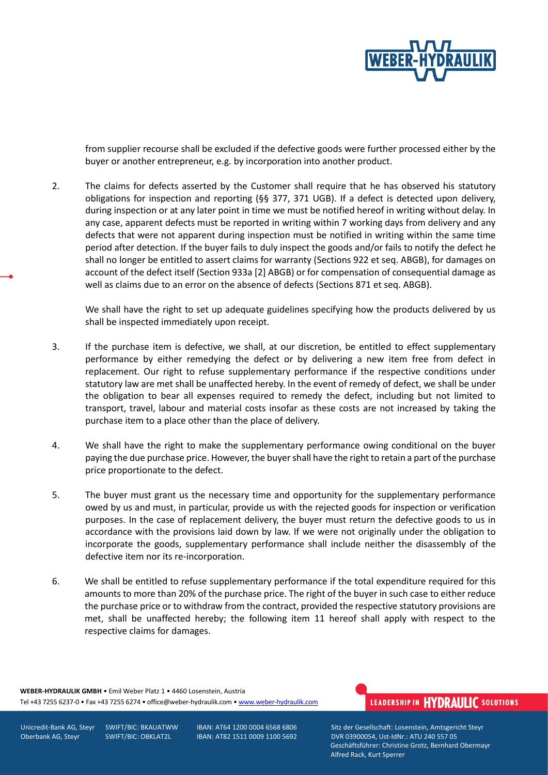

from supplier recourse shall be excluded if the defective goods were further processed either by the buyer or another entrepreneur, e.g. by incorporation into another product.

2. The claims for defects asserted by the Customer shall require that he has observed his statutory obligations for inspection and reporting (§§ 377, 371 UGB). If a defect is detected upon delivery, during inspection or at any later point in time we must be notified hereof in writing without delay. In any case, apparent defects must be reported in writing within 7 working days from delivery and any defects that were not apparent during inspection must be notified in writing within the same time period after detection. If the buyer fails to duly inspect the goods and/or fails to notify the defect he shall no longer be entitled to assert claims for warranty (Sections 922 et seq. ABGB), for damages on account of the defect itself (Section 933a [2] ABGB) or for compensation of consequential damage as well as claims due to an error on the absence of defects (Sections 871 et seq. ABGB).

We shall have the right to set up adequate guidelines specifying how the products delivered by us shall be inspected immediately upon receipt.

- 3. If the purchase item is defective, we shall, at our discretion, be entitled to effect supplementary performance by either remedying the defect or by delivering a new item free from defect in replacement. Our right to refuse supplementary performance if the respective conditions under statutory law are met shall be unaffected hereby. In the event of remedy of defect, we shall be under the obligation to bear all expenses required to remedy the defect, including but not limited to transport, travel, labour and material costs insofar as these costs are not increased by taking the purchase item to a place other than the place of delivery.
- 4. We shall have the right to make the supplementary performance owing conditional on the buyer paying the due purchase price. However, the buyer shall have the right to retain a part of the purchase price proportionate to the defect.
- 5. The buyer must grant us the necessary time and opportunity for the supplementary performance owed by us and must, in particular, provide us with the rejected goods for inspection or verification purposes. In the case of replacement delivery, the buyer must return the defective goods to us in accordance with the provisions laid down by law. If we were not originally under the obligation to incorporate the goods, supplementary performance shall include neither the disassembly of the defective item nor its re-incorporation.
- 6. We shall be entitled to refuse supplementary performance if the total expenditure required for this amounts to more than 20% of the purchase price. The right of the buyer in such case to either reduce the purchase price or to withdraw from the contract, provided the respective statutory provisions are met, shall be unaffected hereby; the following item 11 hereof shall apply with respect to the respective claims for damages.

**WEBER-HYDRAULIK GMBH** • Emil Weber Platz 1 • 4460 Losenstein, Austria Tel +43 7255 6237-0 • Fax +43 7255 6274 • office@weber-hydraulik.com • [www.weber-hydraulik.com](http://www.weber-hydraulik.com/)

## LEADERSHIP IN HYDRAULIC SOLUTIONS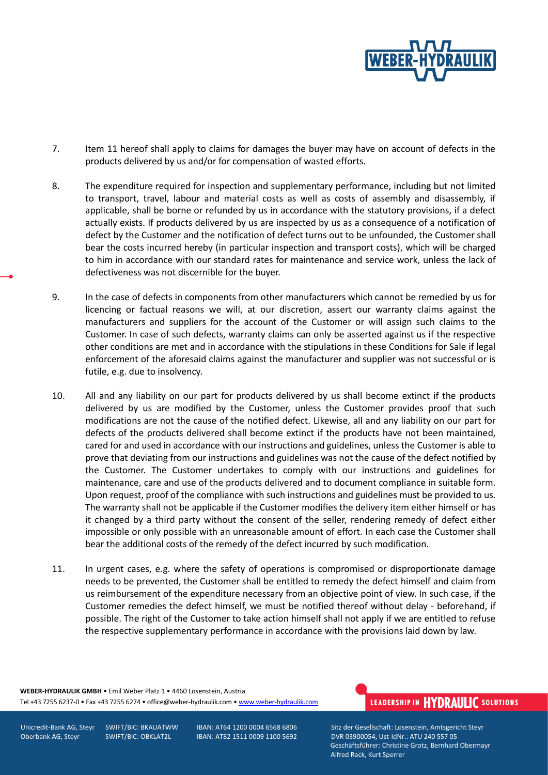

- 7. Item 11 hereof shall apply to claims for damages the buyer may have on account of defects in the products delivered by us and/or for compensation of wasted efforts.
- 8. The expenditure required for inspection and supplementary performance, including but not limited to transport, travel, labour and material costs as well as costs of assembly and disassembly, if applicable, shall be borne or refunded by us in accordance with the statutory provisions, if a defect actually exists. If products delivered by us are inspected by us as a consequence of a notification of defect by the Customer and the notification of defect turns out to be unfounded, the Customer shall bear the costs incurred hereby (in particular inspection and transport costs), which will be charged to him in accordance with our standard rates for maintenance and service work, unless the lack of defectiveness was not discernible for the buyer.
- 9. In the case of defects in components from other manufacturers which cannot be remedied by us for licencing or factual reasons we will, at our discretion, assert our warranty claims against the manufacturers and suppliers for the account of the Customer or will assign such claims to the Customer. In case of such defects, warranty claims can only be asserted against us if the respective other conditions are met and in accordance with the stipulations in these Conditions for Sale if legal enforcement of the aforesaid claims against the manufacturer and supplier was not successful or is futile, e.g. due to insolvency.
- 10. All and any liability on our part for products delivered by us shall become extinct if the products delivered by us are modified by the Customer, unless the Customer provides proof that such modifications are not the cause of the notified defect. Likewise, all and any liability on our part for defects of the products delivered shall become extinct if the products have not been maintained, cared for and used in accordance with our instructions and guidelines, unless the Customer is able to prove that deviating from our instructions and guidelines was not the cause of the defect notified by the Customer. The Customer undertakes to comply with our instructions and guidelines for maintenance, care and use of the products delivered and to document compliance in suitable form. Upon request, proof of the compliance with such instructions and guidelines must be provided to us. The warranty shall not be applicable if the Customer modifies the delivery item either himself or has it changed by a third party without the consent of the seller, rendering remedy of defect either impossible or only possible with an unreasonable amount of effort. In each case the Customer shall bear the additional costs of the remedy of the defect incurred by such modification.
- 11. In urgent cases, e.g. where the safety of operations is compromised or disproportionate damage needs to be prevented, the Customer shall be entitled to remedy the defect himself and claim from us reimbursement of the expenditure necessary from an objective point of view. In such case, if the Customer remedies the defect himself, we must be notified thereof without delay - beforehand, if possible. The right of the Customer to take action himself shall not apply if we are entitled to refuse the respective supplementary performance in accordance with the provisions laid down by law.

**WEBER-HYDRAULIK GMBH** • Emil Weber Platz 1 • 4460 Losenstein, Austria Tel +43 7255 6237-0 • Fax +43 7255 6274 • office@weber-hydraulik.com • [www.weber-hydraulik.com](http://www.weber-hydraulik.com/)

Unicredit-Bank AG, Steyr SWIFT/BIC: BKAUATWW IBAN: AT64 1200 0004 6568 6806 Sitz der Gesellschaft: Losenstein, Amtsgericht Steyr Oberbank AG, Steyr SWIFT/BIC: OBKLAT2L IBAN: AT82 1511 0009 1100 5692 DVR 03900054, Ust-IdNr.: ATU 240 557 05 Geschäftsführer: Christine Grotz, Bernhard Obermayr Alfred Rack, Kurt Sperrer

LEADERSHIP IN HYDRAULIC SOLUTIONS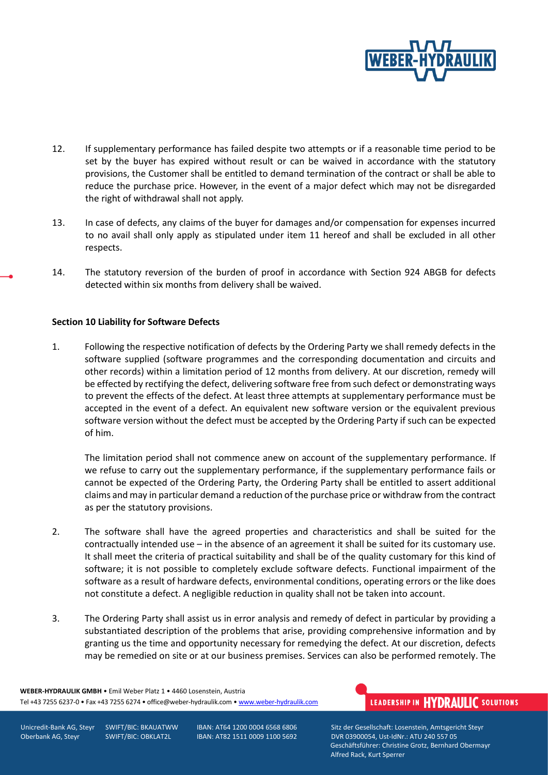

- 12. If supplementary performance has failed despite two attempts or if a reasonable time period to be set by the buyer has expired without result or can be waived in accordance with the statutory provisions, the Customer shall be entitled to demand termination of the contract or shall be able to reduce the purchase price. However, in the event of a major defect which may not be disregarded the right of withdrawal shall not apply.
- 13. In case of defects, any claims of the buyer for damages and/or compensation for expenses incurred to no avail shall only apply as stipulated under item 11 hereof and shall be excluded in all other respects.
- 14. The statutory reversion of the burden of proof in accordance with Section 924 ABGB for defects detected within six months from delivery shall be waived.

#### **Section 10 Liability for Software Defects**

1. Following the respective notification of defects by the Ordering Party we shall remedy defects in the software supplied (software programmes and the corresponding documentation and circuits and other records) within a limitation period of 12 months from delivery. At our discretion, remedy will be effected by rectifying the defect, delivering software free from such defect or demonstrating ways to prevent the effects of the defect. At least three attempts at supplementary performance must be accepted in the event of a defect. An equivalent new software version or the equivalent previous software version without the defect must be accepted by the Ordering Party if such can be expected of him.

The limitation period shall not commence anew on account of the supplementary performance. If we refuse to carry out the supplementary performance, if the supplementary performance fails or cannot be expected of the Ordering Party, the Ordering Party shall be entitled to assert additional claims and may in particular demand a reduction of the purchase price or withdraw from the contract as per the statutory provisions.

- 2. The software shall have the agreed properties and characteristics and shall be suited for the contractually intended use – in the absence of an agreement it shall be suited for its customary use. It shall meet the criteria of practical suitability and shall be of the quality customary for this kind of software; it is not possible to completely exclude software defects. Functional impairment of the software as a result of hardware defects, environmental conditions, operating errors or the like does not constitute a defect. A negligible reduction in quality shall not be taken into account.
- 3. The Ordering Party shall assist us in error analysis and remedy of defect in particular by providing a substantiated description of the problems that arise, providing comprehensive information and by granting us the time and opportunity necessary for remedying the defect. At our discretion, defects may be remedied on site or at our business premises. Services can also be performed remotely. The

**WEBER-HYDRAULIK GMBH** • Emil Weber Platz 1 • 4460 Losenstein, Austria Tel +43 7255 6237-0 • Fax +43 7255 6274 • office@weber-hydraulik.com • [www.weber-hydraulik.com](http://www.weber-hydraulik.com/)

## LEADERSHIP IN HYDRAULIC SOLUTIONS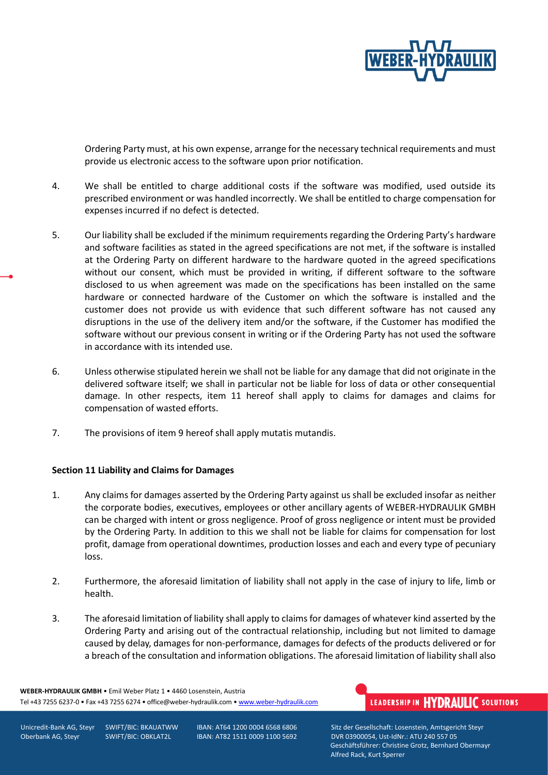

Ordering Party must, at his own expense, arrange for the necessary technical requirements and must provide us electronic access to the software upon prior notification.

- 4. We shall be entitled to charge additional costs if the software was modified, used outside its prescribed environment or was handled incorrectly. We shall be entitled to charge compensation for expenses incurred if no defect is detected.
- 5. Our liability shall be excluded if the minimum requirements regarding the Ordering Party's hardware and software facilities as stated in the agreed specifications are not met, if the software is installed at the Ordering Party on different hardware to the hardware quoted in the agreed specifications without our consent, which must be provided in writing, if different software to the software disclosed to us when agreement was made on the specifications has been installed on the same hardware or connected hardware of the Customer on which the software is installed and the customer does not provide us with evidence that such different software has not caused any disruptions in the use of the delivery item and/or the software, if the Customer has modified the software without our previous consent in writing or if the Ordering Party has not used the software in accordance with its intended use.
- 6. Unless otherwise stipulated herein we shall not be liable for any damage that did not originate in the delivered software itself; we shall in particular not be liable for loss of data or other consequential damage. In other respects, item 11 hereof shall apply to claims for damages and claims for compensation of wasted efforts.
- 7. The provisions of item 9 hereof shall apply mutatis mutandis.

#### **Section 11 Liability and Claims for Damages**

- 1. Any claims for damages asserted by the Ordering Party against us shall be excluded insofar as neither the corporate bodies, executives, employees or other ancillary agents of WEBER-HYDRAULIK GMBH can be charged with intent or gross negligence. Proof of gross negligence or intent must be provided by the Ordering Party. In addition to this we shall not be liable for claims for compensation for lost profit, damage from operational downtimes, production losses and each and every type of pecuniary loss.
- 2. Furthermore, the aforesaid limitation of liability shall not apply in the case of injury to life, limb or health.
- 3. The aforesaid limitation of liability shall apply to claims for damages of whatever kind asserted by the Ordering Party and arising out of the contractual relationship, including but not limited to damage caused by delay, damages for non-performance, damages for defects of the products delivered or for a breach of the consultation and information obligations. The aforesaid limitation of liability shall also

**WEBER-HYDRAULIK GMBH** • Emil Weber Platz 1 • 4460 Losenstein, Austria Tel +43 7255 6237-0 • Fax +43 7255 6274 • office@weber-hydraulik.com • [www.weber-hydraulik.com](http://www.weber-hydraulik.com/)

## LEADERSHIP IN HYDRAULIC SOLUTIONS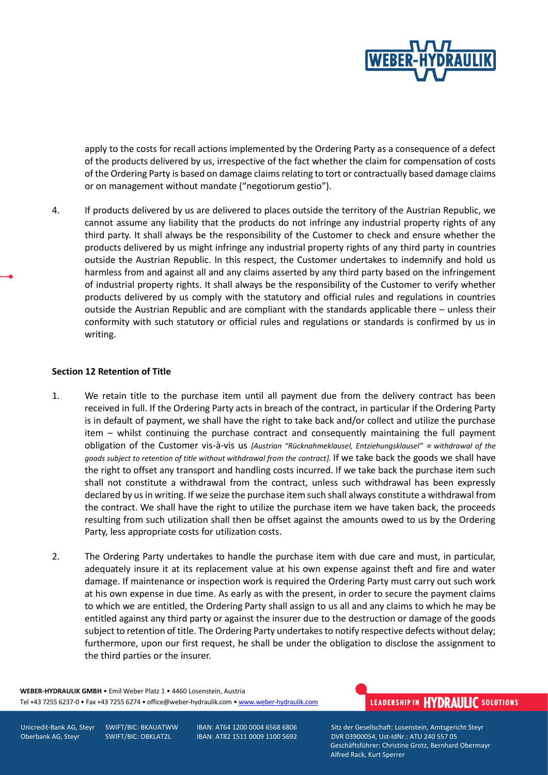

apply to the costs for recall actions implemented by the Ordering Party as a consequence of a defect of the products delivered by us, irrespective of the fact whether the claim for compensation of costs of the Ordering Party is based on damage claims relating to tort or contractually based damage claims or on management without mandate ("negotiorum gestio").

4. If products delivered by us are delivered to places outside the territory of the Austrian Republic, we cannot assume any liability that the products do not infringe any industrial property rights of any third party. It shall always be the responsibility of the Customer to check and ensure whether the products delivered by us might infringe any industrial property rights of any third party in countries outside the Austrian Republic. In this respect, the Customer undertakes to indemnify and hold us harmless from and against all and any claims asserted by any third party based on the infringement of industrial property rights. It shall always be the responsibility of the Customer to verify whether products delivered by us comply with the statutory and official rules and regulations in countries outside the Austrian Republic and are compliant with the standards applicable there – unless their conformity with such statutory or official rules and regulations or standards is confirmed by us in writing.

#### **Section 12 Retention of Title**

- 1. We retain title to the purchase item until all payment due from the delivery contract has been received in full. If the Ordering Party acts in breach of the contract, in particular if the Ordering Party is in default of payment, we shall have the right to take back and/or collect and utilize the purchase item – whilst continuing the purchase contract and consequently maintaining the full payment obligation of the Customer vis-à-vis us *[Austrian "Rücknahmeklausel, Entziehungsklausel" withdrawal of the goods subject to retention of title without withdrawal from the contract].* If we take back the goods we shall have the right to offset any transport and handling costs incurred. If we take back the purchase item such shall not constitute a withdrawal from the contract, unless such withdrawal has been expressly declared by us in writing. If we seize the purchase item such shall always constitute a withdrawal from the contract. We shall have the right to utilize the purchase item we have taken back, the proceeds resulting from such utilization shall then be offset against the amounts owed to us by the Ordering Party, less appropriate costs for utilization costs.
- 2. The Ordering Party undertakes to handle the purchase item with due care and must, in particular, adequately insure it at its replacement value at his own expense against theft and fire and water damage. If maintenance or inspection work is required the Ordering Party must carry out such work at his own expense in due time. As early as with the present, in order to secure the payment claims to which we are entitled, the Ordering Party shall assign to us all and any claims to which he may be entitled against any third party or against the insurer due to the destruction or damage of the goods subject to retention of title. The Ordering Party undertakes to notify respective defects without delay; furthermore, upon our first request, he shall be under the obligation to disclose the assignment to the third parties or the insurer.

**WEBER-HYDRAULIK GMBH** • Emil Weber Platz 1 • 4460 Losenstein, Austria Tel +43 7255 6237-0 • Fax +43 7255 6274 • office@weber-hydraulik.com • [www.weber-hydraulik.com](http://www.weber-hydraulik.com/)

## LEADERSHIP IN HYDRAULIC SOLUTIONS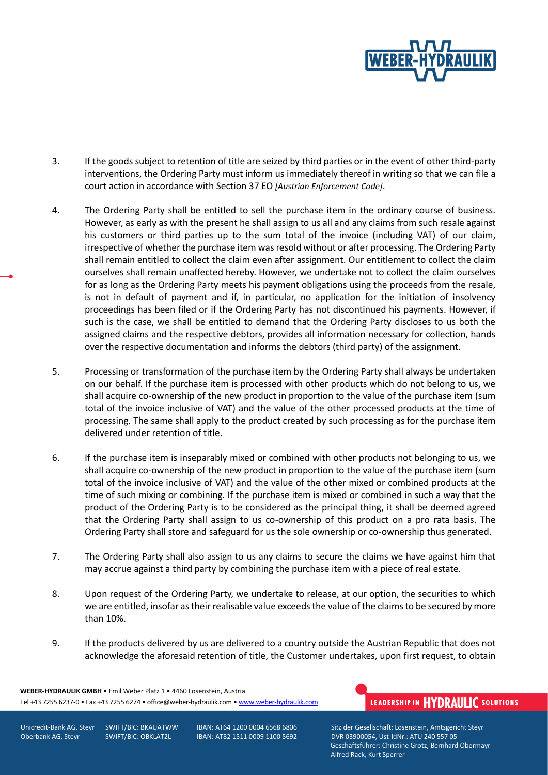

- 3. If the goods subject to retention of title are seized by third parties or in the event of other third-party interventions, the Ordering Party must inform us immediately thereof in writing so that we can file a court action in accordance with Section 37 EO *[Austrian Enforcement Code]*.
- 4. The Ordering Party shall be entitled to sell the purchase item in the ordinary course of business. However, as early as with the present he shall assign to us all and any claims from such resale against his customers or third parties up to the sum total of the invoice (including VAT) of our claim, irrespective of whether the purchase item was resold without or after processing. The Ordering Party shall remain entitled to collect the claim even after assignment. Our entitlement to collect the claim ourselves shall remain unaffected hereby. However, we undertake not to collect the claim ourselves for as long as the Ordering Party meets his payment obligations using the proceeds from the resale, is not in default of payment and if, in particular, no application for the initiation of insolvency proceedings has been filed or if the Ordering Party has not discontinued his payments. However, if such is the case, we shall be entitled to demand that the Ordering Party discloses to us both the assigned claims and the respective debtors, provides all information necessary for collection, hands over the respective documentation and informs the debtors (third party) of the assignment.
- 5. Processing or transformation of the purchase item by the Ordering Party shall always be undertaken on our behalf. If the purchase item is processed with other products which do not belong to us, we shall acquire co-ownership of the new product in proportion to the value of the purchase item (sum total of the invoice inclusive of VAT) and the value of the other processed products at the time of processing. The same shall apply to the product created by such processing as for the purchase item delivered under retention of title.
- 6. If the purchase item is inseparably mixed or combined with other products not belonging to us, we shall acquire co-ownership of the new product in proportion to the value of the purchase item (sum total of the invoice inclusive of VAT) and the value of the other mixed or combined products at the time of such mixing or combining. If the purchase item is mixed or combined in such a way that the product of the Ordering Party is to be considered as the principal thing, it shall be deemed agreed that the Ordering Party shall assign to us co-ownership of this product on a pro rata basis. The Ordering Party shall store and safeguard for us the sole ownership or co-ownership thus generated.
- 7. The Ordering Party shall also assign to us any claims to secure the claims we have against him that may accrue against a third party by combining the purchase item with a piece of real estate.
- 8. Upon request of the Ordering Party, we undertake to release, at our option, the securities to which we are entitled, insofar as their realisable value exceeds the value of the claims to be secured by more than 10%.
- 9. If the products delivered by us are delivered to a country outside the Austrian Republic that does not acknowledge the aforesaid retention of title, the Customer undertakes, upon first request, to obtain

**WEBER-HYDRAULIK GMBH** • Emil Weber Platz 1 • 4460 Losenstein, Austria Tel +43 7255 6237-0 • Fax +43 7255 6274 • office@weber-hydraulik.com • [www.weber-hydraulik.com](http://www.weber-hydraulik.com/)

# LEADERSHIP IN HYDRAULIC SOLUTIONS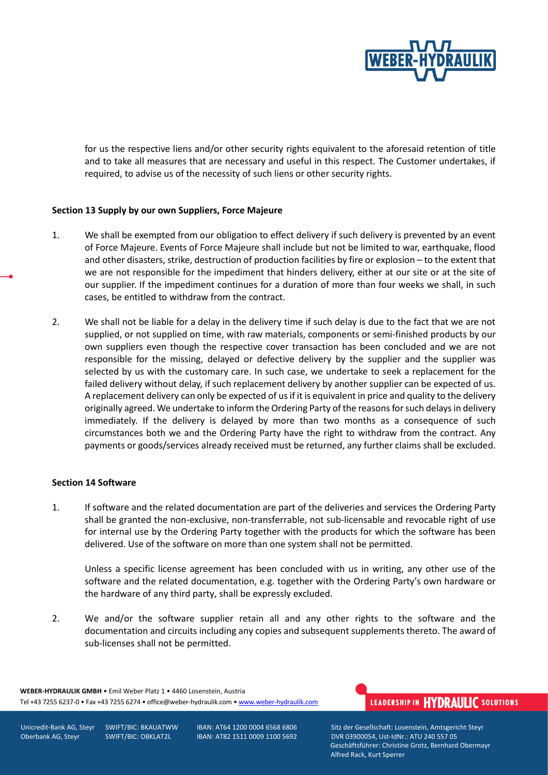

for us the respective liens and/or other security rights equivalent to the aforesaid retention of title and to take all measures that are necessary and useful in this respect. The Customer undertakes, if required, to advise us of the necessity of such liens or other security rights.

#### **Section 13 Supply by our own Suppliers, Force Majeure**

- 1. We shall be exempted from our obligation to effect delivery if such delivery is prevented by an event of Force Majeure. Events of Force Majeure shall include but not be limited to war, earthquake, flood and other disasters, strike, destruction of production facilities by fire or explosion – to the extent that we are not responsible for the impediment that hinders delivery, either at our site or at the site of our supplier. If the impediment continues for a duration of more than four weeks we shall, in such cases, be entitled to withdraw from the contract.
- 2. We shall not be liable for a delay in the delivery time if such delay is due to the fact that we are not supplied, or not supplied on time, with raw materials, components or semi-finished products by our own suppliers even though the respective cover transaction has been concluded and we are not responsible for the missing, delayed or defective delivery by the supplier and the supplier was selected by us with the customary care. In such case, we undertake to seek a replacement for the failed delivery without delay, if such replacement delivery by another supplier can be expected of us. A replacement delivery can only be expected of us if it is equivalent in price and quality to the delivery originally agreed. We undertake to inform the Ordering Party of the reasons for such delays in delivery immediately. If the delivery is delayed by more than two months as a consequence of such circumstances both we and the Ordering Party have the right to withdraw from the contract. Any payments or goods/services already received must be returned, any further claims shall be excluded.

#### **Section 14 Software**

1. If software and the related documentation are part of the deliveries and services the Ordering Party shall be granted the non-exclusive, non-transferrable, not sub-licensable and revocable right of use for internal use by the Ordering Party together with the products for which the software has been delivered. Use of the software on more than one system shall not be permitted.

Unless a specific license agreement has been concluded with us in writing, any other use of the software and the related documentation, e.g. together with the Ordering Party's own hardware or the hardware of any third party, shall be expressly excluded.

2. We and/or the software supplier retain all and any other rights to the software and the documentation and circuits including any copies and subsequent supplements thereto. The award of sub-licenses shall not be permitted.

**WEBER-HYDRAULIK GMBH** • Emil Weber Platz 1 • 4460 Losenstein, Austria Tel +43 7255 6237-0 • Fax +43 7255 6274 • office@weber-hydraulik.com • [www.weber-hydraulik.com](http://www.weber-hydraulik.com/)

## LEADERSHIP IN HYDRAULIC SOLUTIONS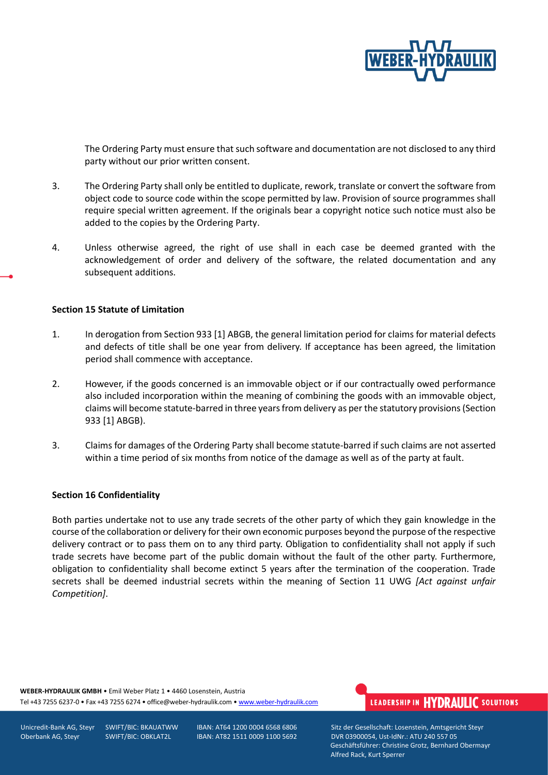

The Ordering Party must ensure that such software and documentation are not disclosed to any third party without our prior written consent.

- 3. The Ordering Party shall only be entitled to duplicate, rework, translate or convert the software from object code to source code within the scope permitted by law. Provision of source programmes shall require special written agreement. If the originals bear a copyright notice such notice must also be added to the copies by the Ordering Party.
- 4. Unless otherwise agreed, the right of use shall in each case be deemed granted with the acknowledgement of order and delivery of the software, the related documentation and any subsequent additions.

#### **Section 15 Statute of Limitation**

- 1. In derogation from Section 933 [1] ABGB, the general limitation period for claims for material defects and defects of title shall be one year from delivery. If acceptance has been agreed, the limitation period shall commence with acceptance.
- 2. However, if the goods concerned is an immovable object or if our contractually owed performance also included incorporation within the meaning of combining the goods with an immovable object, claims will become statute-barred in three years from delivery as per the statutory provisions(Section 933 [1] ABGB).
- 3. Claims for damages of the Ordering Party shall become statute-barred if such claims are not asserted within a time period of six months from notice of the damage as well as of the party at fault.

#### **Section 16 Confidentiality**

Both parties undertake not to use any trade secrets of the other party of which they gain knowledge in the course of the collaboration or delivery for their own economic purposes beyond the purpose of the respective delivery contract or to pass them on to any third party. Obligation to confidentiality shall not apply if such trade secrets have become part of the public domain without the fault of the other party. Furthermore, obligation to confidentiality shall become extinct 5 years after the termination of the cooperation. Trade secrets shall be deemed industrial secrets within the meaning of Section 11 UWG *[Act against unfair Competition]*.

**WEBER-HYDRAULIK GMBH** • Emil Weber Platz 1 • 4460 Losenstein, Austria Tel +43 7255 6237-0 • Fax +43 7255 6274 • office@weber-hydraulik.com • [www.weber-hydraulik.com](http://www.weber-hydraulik.com/)

## LEADERSHIP IN HYDRAULIC SOLUTIONS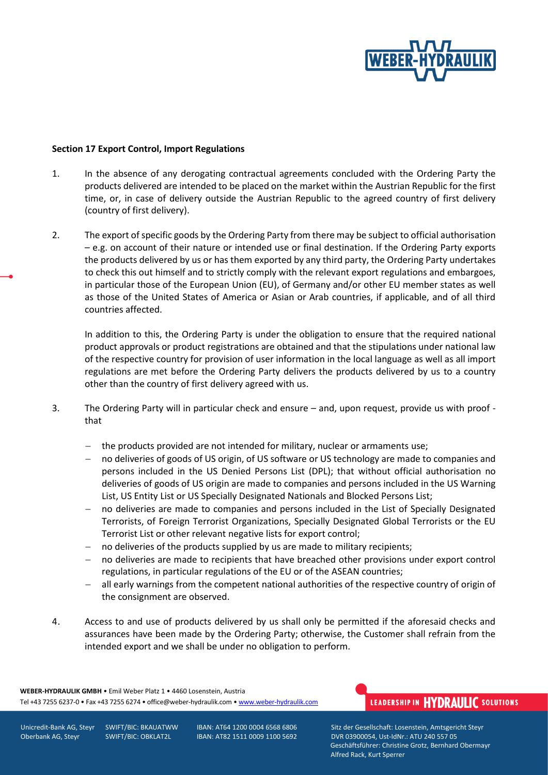

#### **Section 17 Export Control, Import Regulations**

- 1. In the absence of any derogating contractual agreements concluded with the Ordering Party the products delivered are intended to be placed on the market within the Austrian Republic for the first time, or, in case of delivery outside the Austrian Republic to the agreed country of first delivery (country of first delivery).
- 2. The export of specific goods by the Ordering Party from there may be subject to official authorisation – e.g. on account of their nature or intended use or final destination. If the Ordering Party exports the products delivered by us or has them exported by any third party, the Ordering Party undertakes to check this out himself and to strictly comply with the relevant export regulations and embargoes, in particular those of the European Union (EU), of Germany and/or other EU member states as well as those of the United States of America or Asian or Arab countries, if applicable, and of all third countries affected.

In addition to this, the Ordering Party is under the obligation to ensure that the required national product approvals or product registrations are obtained and that the stipulations under national law of the respective country for provision of user information in the local language as well as all import regulations are met before the Ordering Party delivers the products delivered by us to a country other than the country of first delivery agreed with us.

- 3. The Ordering Party will in particular check and ensure and, upon request, provide us with proof that
	- − the products provided are not intended for military, nuclear or armaments use;
	- no deliveries of goods of US origin, of US software or US technology are made to companies and persons included in the US Denied Persons List (DPL); that without official authorisation no deliveries of goods of US origin are made to companies and persons included in the US Warning List, US Entity List or US Specially Designated Nationals and Blocked Persons List;
	- no deliveries are made to companies and persons included in the List of Specially Designated Terrorists, of Foreign Terrorist Organizations, Specially Designated Global Terrorists or the EU Terrorist List or other relevant negative lists for export control;
	- no deliveries of the products supplied by us are made to military recipients;
	- − no deliveries are made to recipients that have breached other provisions under export control regulations, in particular regulations of the EU or of the ASEAN countries;
	- all early warnings from the competent national authorities of the respective country of origin of the consignment are observed.
- 4. Access to and use of products delivered by us shall only be permitted if the aforesaid checks and assurances have been made by the Ordering Party; otherwise, the Customer shall refrain from the intended export and we shall be under no obligation to perform.

**WEBER-HYDRAULIK GMBH** • Emil Weber Platz 1 • 4460 Losenstein, Austria Tel +43 7255 6237-0 • Fax +43 7255 6274 • office@weber-hydraulik.com • [www.weber-hydraulik.com](http://www.weber-hydraulik.com/)

# LEADERSHIP IN HYDRAULIC SOLUTIONS